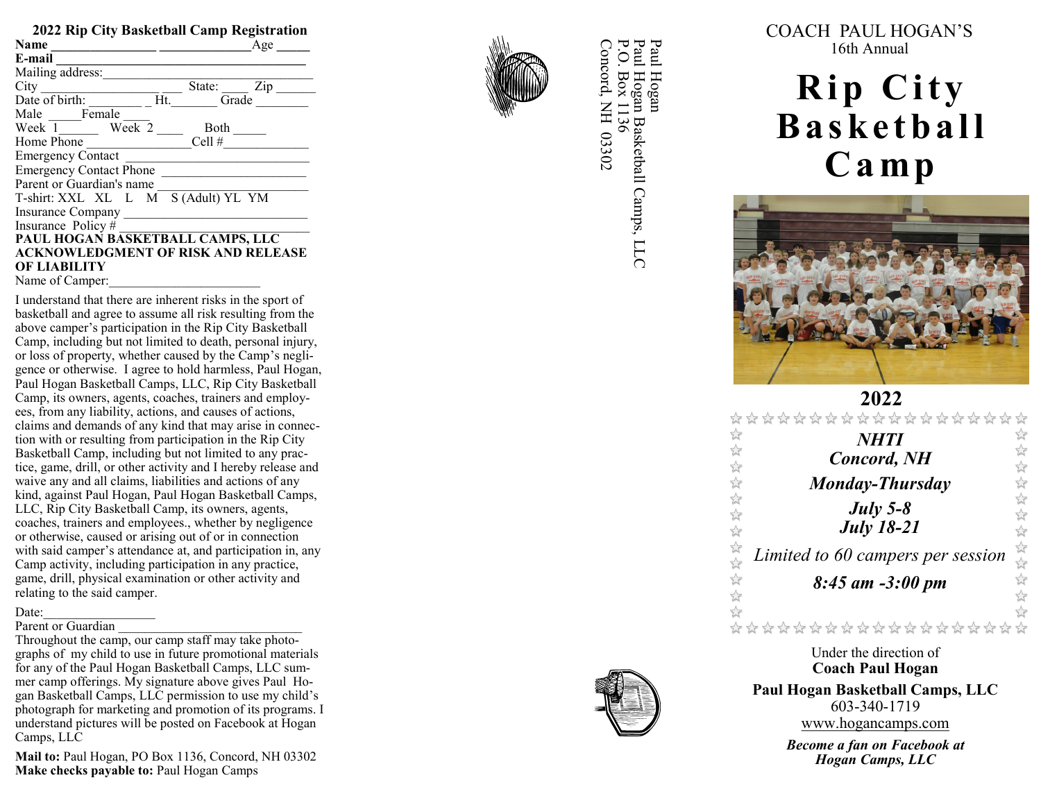| 2022 Rip City Basketball Camp Registration |     |  |  |
|--------------------------------------------|-----|--|--|
| Name                                       | Age |  |  |
| E-mail                                     |     |  |  |
| Mailing address:                           |     |  |  |
| City<br>State:                             | Zip |  |  |
| Date of birth:<br>Ht.<br>Grade             |     |  |  |
| Male Female                                |     |  |  |
| Week 2<br>Week 1<br>Both                   |     |  |  |
| Cell #<br>Home Phone                       |     |  |  |
| <b>Emergency Contact</b>                   |     |  |  |
| <b>Emergency Contact Phone</b>             |     |  |  |
| Parent or Guardian's name                  |     |  |  |
| S (Adult) YL YM<br>T-shirt: XXL XL L M     |     |  |  |
| Insurance Company                          |     |  |  |
| Insurance Policy#                          |     |  |  |
| PAUL HOGAN BASKETBALL CAMPS, LLC           |     |  |  |
| <b>ACKNOWLEDGMENT OF RISK AND RELEASE</b>  |     |  |  |
| OF LIABILITY                               |     |  |  |
| Name of Camper:                            |     |  |  |

I understand that there are inherent risks in the sport of basketball and agree to assume all risk resulting from the above camper 's participation in the Rip City Basketball Camp, including but not limited to death, personal injury, or loss of property, whether caused by the Camp 's negligence or otherwise. I agree to hold harmless, Paul Hogan, Paul Hogan Basketball Camps, LLC, Rip City Basketball Camp, its owners, agents, coaches, trainers and employees, from any liability, actions, and causes of actions, claims and demands of any kind that may arise in connection with or resulting from participation in the Rip City Basketball Camp, including but not limited to any practice, game, drill, or other activity and I hereby release and waive any and all claims, liabilities and actions of any kind, against Paul Hogan, Paul Hogan Basketball Camps, LLC, Rip City Basketball Camp, its owners, agents, coaches, trainers and employees., whether by negligence or otherwise, caused or arising out of or in connection with said camper 's attendance at, and participation in, any Camp activity, including participation in any practice, game, drill, physical examination or other activity and relating to the said camper.

### Date:

#### Parent or Guardian

Throughout the camp, our camp staff may take photographs of my child to use in future promotional materials for any of the Paul Hogan Basketball Camps, LLC summer camp offerings. My signature above gives Paul Hogan Basketball Camps, LLC permission to use my child's photograph for marketing and promotion of its programs. I understand pictures will be posted on Facebook at Hogan Camps, LLC

**Mail to:** Paul Hogan, PO Box 1136, Concord, NH 03302 **Make checks payable to:** Paul Hogan Camps



Paul Concord, NH 03302 P.O. Box 1136 Paul Hogan Basketball Camps, LLC Paul Hogan Concord, NH 03302 Paul Hogan Basketball Camps, LLC .O. Box 1136 I Hogan COACH PAUL HOGAN ' S 16th Annual

# **Rip City B a s k e t b a l l C a m p**



2**022**<br>☆☆☆☆☆☆☆☆☆☆☆☆☆ 以次以次以次以次以次 \*\*\*\*\*\*\*\*\* *NHTI Concord, NH Monday -Thursday July 5- 8 July 18 -21* 琴琴 *Limited to 60 campers per session*  55年 *8:45 am -3:00 pm*  $\frac{1}{2}$  $\frac{1}{2}$ \*\*\*\*\*\*\*\*\*\*\*\*\*

> Under the direction of **Coach Paul Hogan**

**Paul Hogan Basketball Camps, LLC** 603 -340 -1719 www.hogancamps.com

> *Become a fan on Facebook at Hogan Camps, LLC*